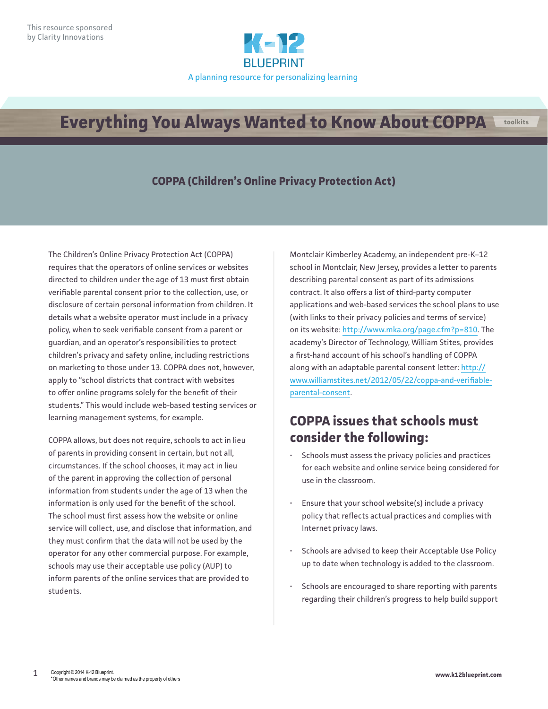

# **Everything You Always Wanted to Know About COPPA Ltoolkits**

#### **COPPA (Children's Online Privacy Protection Act)**

The Children's Online Privacy Protection Act (COPPA) requires that the operators of online services or websites directed to children under the age of 13 must first obtain verifiable parental consent prior to the collection, use, or disclosure of certain personal information from children. It details what a website operator must include in a privacy policy, when to seek verifiable consent from a parent or guardian, and an operator's responsibilities to protect children's privacy and safety online, including restrictions on marketing to those under 13. COPPA does not, however, apply to "school districts that contract with websites to offer online programs solely for the benefit of their students." This would include web-based testing services or learning management systems, for example.

COPPA allows, but does not require, schools to act in lieu of parents in providing consent in certain, but not all, circumstances. If the school chooses, it may act in lieu of the parent in approving the collection of personal information from students under the age of 13 when the information is only used for the benefit of the school. The school must first assess how the website or online service will collect, use, and disclose that information, and they must confirm that the data will not be used by the operator for any other commercial purpose. For example, schools may use their acceptable use policy (AUP) to inform parents of the online services that are provided to students.

Montclair Kimberley Academy, an independent pre-K–12 school in Montclair, New Jersey, provides a letter to parents describing parental consent as part of its admissions contract. It also offers a list of third-party computer applications and web-based services the school plans to use (with links to their privacy policies and terms of service) on its website: [http://www.mka.org/page.cfm?p=810.](http://www.mka.org/page.cfm?p=810) The academy's Director of Technology, William Stites, provides a first-hand account of his school's handling of COPPA along with an adaptable parental consent letter: [http://](http://www.williamstites.net/2012/05/22/coppa-and-verifiable-parental-consent) [www.williamstites.net/2012/05/22/coppa-and-verifiable](http://www.williamstites.net/2012/05/22/coppa-and-verifiable-parental-consent)[parental-consent](http://www.williamstites.net/2012/05/22/coppa-and-verifiable-parental-consent).

# **COPPA issues that schools must consider the following:**

- Schools must assess the privacy policies and practices for each website and online service being considered for use in the classroom.
- Ensure that your school website(s) include a privacy policy that reflects actual practices and complies with Internet privacy laws.
- Schools are advised to keep their Acceptable Use Policy up to date when technology is added to the classroom.
- Schools are encouraged to share reporting with parents regarding their children's progress to help build support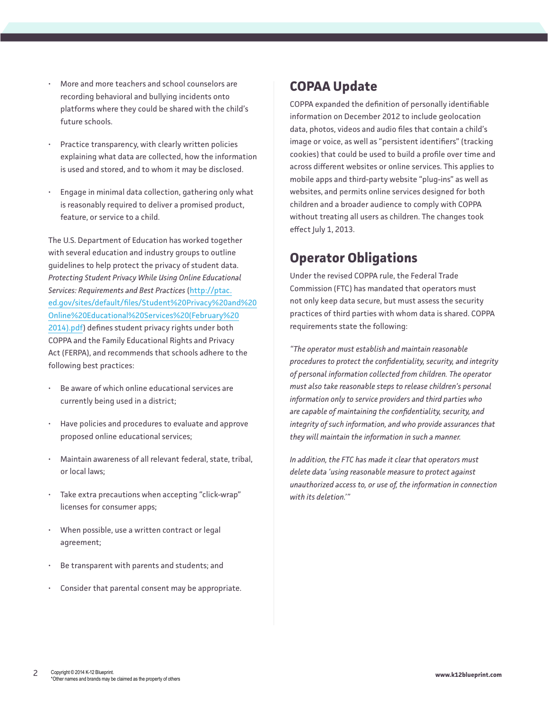- More and more teachers and school counselors are recording behavioral and bullying incidents onto platforms where they could be shared with the child's future schools.
- Practice transparency, with clearly written policies explaining what data are collected, how the information is used and stored, and to whom it may be disclosed.
- Engage in minimal data collection, gathering only what is reasonably required to deliver a promised product, feature, or service to a child.

The U.S. Department of Education has worked together with several education and industry groups to outline guidelines to help protect the privacy of student data. *Protecting Student Privacy While Using Online Educational Services: Requirements and Best Practices* [\(http://ptac.](http://ptac.ed.gov/sites/default/files/Student%20Privacy%20and%20Online%20Educational%20Services%20(February%202014).pdf) [ed.gov/sites/default/files/Student%20Privacy%20and%20](http://ptac.ed.gov/sites/default/files/Student%20Privacy%20and%20Online%20Educational%20Services%20(February%202014).pdf) [Online%20Educational%20Services%20\(February%20](http://ptac.ed.gov/sites/default/files/Student%20Privacy%20and%20Online%20Educational%20Services%20(February%202014).pdf) [2014\).pdf\)](http://ptac.ed.gov/sites/default/files/Student%20Privacy%20and%20Online%20Educational%20Services%20(February%202014).pdf) defines student privacy rights under both COPPA and the Family Educational Rights and Privacy Act (FERPA), and recommends that schools adhere to the following best practices:

- Be aware of which online educational services are currently being used in a district;
- Have policies and procedures to evaluate and approve proposed online educational services;
- Maintain awareness of all relevant federal, state, tribal, or local laws;
- Take extra precautions when accepting "click-wrap" licenses for consumer apps;
- When possible, use a written contract or legal agreement;
- Be transparent with parents and students; and
- Consider that parental consent may be appropriate.

## **COPAA Update**

COPPA expanded the definition of personally identifiable information on December 2012 to include geolocation data, photos, videos and audio files that contain a child's image or voice, as well as "persistent identifiers" (tracking cookies) that could be used to build a profile over time and across different websites or online services. This applies to mobile apps and third-party website "plug-ins" as well as websites, and permits online services designed for both children and a broader audience to comply with COPPA without treating all users as children. The changes took effect July 1, 2013.

### **Operator Obligations**

Under the revised COPPA rule, the Federal Trade Commission (FTC) has mandated that operators must not only keep data secure, but must assess the security practices of third parties with whom data is shared. COPPA requirements state the following:

*"The operator must establish and maintain reasonable procedures to protect the confidentiality, security, and integrity of personal information collected from children. The operator must also take reasonable steps to release children's personal information only to service providers and third parties who are capable of maintaining the confidentiality, security, and integrity of such information, and who provide assurances that they will maintain the information in such a manner.* 

*In addition, the FTC has made it clear that operators must delete data 'using reasonable measure to protect against unauthorized access to, or use of, the information in connection with its deletion.'"*